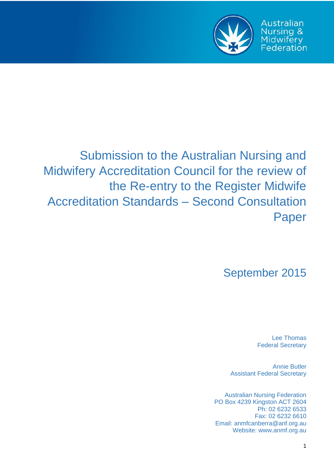

**Australian** Nursing & Midwifery Federation

# Submission to the Australian Nursing and Midwifery Accreditation Council for the review of the Re-entry to the Register Midwife Accreditation Standards – Second Consultation Paper

September 2015

Lee Thomas Federal Secretary

Annie Butler Assistant Federal Secretary

Australian Nursing Federation PO Box 4239 Kingston ACT 2604 Ph: 02 6232 6533 Fax: 02 6232 6610 Email: anmfcanberra@anf.org.au Website: www.anmf.org.au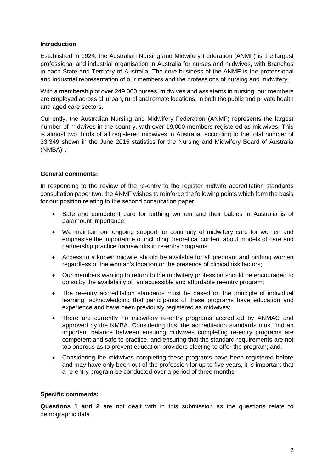## **Introduction**

Established in 1924, the Australian Nursing and Midwifery Federation (ANMF) is the largest professional and industrial organisation in Australia for nurses and midwives, with Branches in each State and Territory of Australia. The core business of the ANMF is the professional and industrial representation of our members and the professions of nursing and midwifery.

With a membership of over 249,000 nurses, midwives and assistants in nursing, our members are employed across all urban, rural and remote locations, in both the public and private health and aged care sectors.

Currently, the Australian Nursing and Midwifery Federation (ANMF) represents the largest number of midwives in the country, with over 19,000 members registered as midwives. This is almost two thirds of all registered midwives in Australia, according to the total number of 33,349 shown in the June 2015 statistics for the Nursing and Midwifery Board of Australia  $(NMBA)^{i}$ .

## **General comments:**

In responding to the review of the re-entry to the register midwife accreditation standards consultation paper two, the ANMF wishes to reinforce the following points which form the basis for our position relating to the second consultation paper:

- Safe and competent care for birthing women and their babies in Australia is of paramount importance;
- We maintain our ongoing support for continuity of midwifery care for women and emphasise the importance of including theoretical content about models of care and partnership practice frameworks in re-entry programs;
- Access to a known midwife should be available for all pregnant and birthing women regardless of the woman's location or the presence of clinical risk factors;
- Our members wanting to return to the midwifery profession should be encouraged to do so by the availability of an accessible and affordable re-entry program;
- The re-entry accreditation standards must be based on the principle of individual learning, acknowledging that participants of these programs have education and experience and have been previously registered as midwives;
- There are currently no midwifery re-entry programs accredited by ANMAC and approved by the NMBA. Considering this, the accreditation standards must find an important balance between ensuring midwives completing re-entry programs are competent and safe to practice, and ensuring that the standard requirements are not too onerous as to prevent education providers electing to offer the program; and,
- Considering the midwives completing these programs have been registered before and may have only been out of the profession for up to five years, it is important that a re-entry program be conducted over a period of three months.

## **Specific comments:**

**Questions 1 and 2** are not dealt with in this submission as the questions relate to demographic data.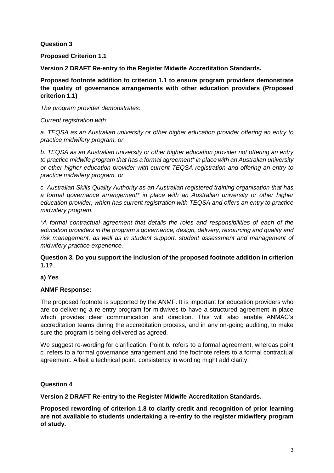**Question 3**

**Proposed Criterion 1.1**

**Version 2 DRAFT Re-entry to the Register Midwife Accreditation Standards.** 

**Proposed footnote addition to criterion 1.1 to ensure program providers demonstrate the quality of governance arrangements with other education providers (Proposed criterion 1.1)**

*The program provider demonstrates:* 

*Current registration with:* 

*a. TEQSA as an Australian university or other higher education provider offering an entry to practice midwifery program, or* 

*b. TEQSA as an Australian university or other higher education provider not offering an entry to practice midwife program that has a formal agreement\* in place with an Australian university or other higher education provider with current TEQSA registration and offering an entry to practice midwifery program, or* 

*c. Australian Skills Quality Authority as an Australian registered training organisation that has a formal governance arrangement\* in place with an Australian university or other higher education provider, which has current registration with TEQSA and offers an entry to practice midwifery program.* 

*\*A formal contractual agreement that details the roles and responsibilities of each of the education providers in the program's governance, design, delivery, resourcing and quality and risk management, as well as in student support, student assessment and management of midwifery practice experience.* 

**Question 3. Do you support the inclusion of the proposed footnote addition in criterion 1.1?** 

**a) Yes** 

# **ANMF Response:**

The proposed footnote is supported by the ANMF. It is important for education providers who are co-delivering a re-entry program for midwives to have a structured agreement in place which provides clear communication and direction. This will also enable ANMAC's accreditation teams during the accreditation process, and in any on-going auditing, to make sure the program is being delivered as agreed.

We suggest re-wording for clarification. Point *b.* refers to a formal agreement, whereas point *c.* refers to a formal governance arrangement and the footnote refers to a formal contractual agreement. Albeit a technical point, consistency in wording might add clarity.

# **Question 4**

**Version 2 DRAFT Re-entry to the Register Midwife Accreditation Standards.** 

**Proposed rewording of criterion 1.8 to clarify credit and recognition of prior learning are not available to students undertaking a re-entry to the register midwifery program of study.**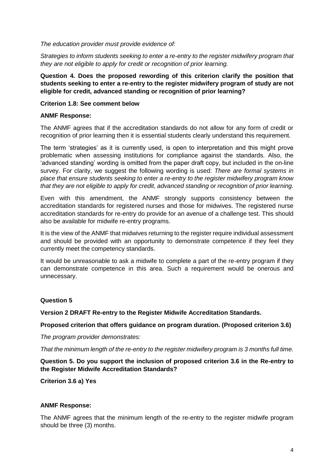#### *The education provider must provide evidence of:*

*Strategies to inform students seeking to enter a re-entry to the register midwifery program that they are not eligible to apply for credit or recognition of prior learning.*

**Question 4. Does the proposed rewording of this criterion clarify the position that students seeking to enter a re-entry to the register midwifery program of study are not eligible for credit, advanced standing or recognition of prior learning?** 

## **Criterion 1.8: See comment below**

#### **ANMF Response:**

The ANMF agrees that if the accreditation standards do not allow for any form of credit or recognition of prior learning then it is essential students clearly understand this requirement.

The term 'strategies' as it is currently used, is open to interpretation and this might prove problematic when assessing institutions for compliance against the standards. Also, the 'advanced standing' wording is omitted from the paper draft copy, but included in the on-line survey. For clarity, we suggest the following wording is used: *There are formal systems in place that ensure students seeking to enter a re-entry to the register midwifery program know that they are not eligible to apply for credit, advanced standing or recognition of prior learning.*

Even with this amendment, the ANMF strongly supports consistency between the accreditation standards for registered nurses and those for midwives. The registered nurse accreditation standards for re-entry do provide for an avenue of a challenge test. This should also be available for midwife re-entry programs.

It is the view of the ANMF that midwives returning to the register require individual assessment and should be provided with an opportunity to demonstrate competence if they feel they currently meet the competency standards.

It would be unreasonable to ask a midwife to complete a part of the re-entry program if they can demonstrate competence in this area. Such a requirement would be onerous and unnecessary.

## **Question 5**

**Version 2 DRAFT Re-entry to the Register Midwife Accreditation Standards.** 

## **Proposed criterion that offers guidance on program duration. (Proposed criterion 3.6)**

*The program provider demonstrates:* 

*That the minimum length of the re-entry to the register midwifery program is 3 months full time.* 

**Question 5. Do you support the inclusion of proposed criterion 3.6 in the Re-entry to the Register Midwife Accreditation Standards?** 

**Criterion 3.6 a) Yes** 

#### **ANMF Response:**

The ANMF agrees that the minimum length of the re-entry to the register midwife program should be three (3) months.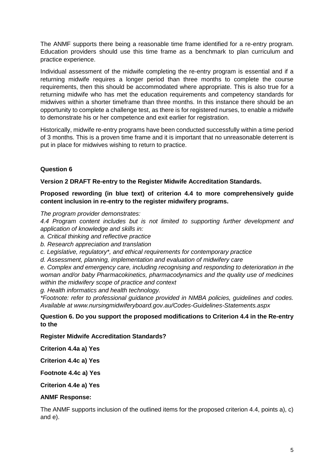The ANMF supports there being a reasonable time frame identified for a re-entry program. Education providers should use this time frame as a benchmark to plan curriculum and practice experience.

Individual assessment of the midwife completing the re-entry program is essential and if a returning midwife requires a longer period than three months to complete the course requirements, then this should be accommodated where appropriate. This is also true for a returning midwife who has met the education requirements and competency standards for midwives within a shorter timeframe than three months. In this instance there should be an opportunity to complete a challenge test, as there is for registered nurses, to enable a midwife to demonstrate his or her competence and exit earlier for registration.

Historically, midwife re-entry programs have been conducted successfully within a time period of 3 months. This is a proven time frame and it is important that no unreasonable deterrent is put in place for midwives wishing to return to practice.

# **Question 6**

**Version 2 DRAFT Re-entry to the Register Midwife Accreditation Standards.** 

## **Proposed rewording (in blue text) of criterion 4.4 to more comprehensively guide content inclusion in re-entry to the register midwifery programs.**

*The program provider demonstrates:* 

*4.4 Program content includes but is not limited to supporting further development and application of knowledge and skills in:* 

*a. Critical thinking and reflective practice* 

*b. Research appreciation and translation* 

*c. Legislative, regulatory\*, and ethical requirements for contemporary practice* 

*d. Assessment, planning, implementation and evaluation of midwifery care* 

*e. Complex and emergency care, including recognising and responding to deterioration in the woman and/or baby Pharmacokinetics, pharmacodynamics and the quality use of medicines within the midwifery scope of practice and context* 

*g. Health informatics and health technology.* 

*\*Footnote: refer to professional guidance provided in NMBA policies, guidelines and codes. Available at www.nursingmidwiferyboard.gov.au/Codes-Guidelines-Statements.aspx* 

**Question 6. Do you support the proposed modifications to Criterion 4.4 in the Re-entry to the** 

**Register Midwife Accreditation Standards?** 

**Criterion 4.4a a) Yes** 

**Criterion 4.4c a) Yes** 

**Footnote 4.4c a) Yes** 

**Criterion 4.4e a) Yes** 

#### **ANMF Response:**

The ANMF supports inclusion of the outlined items for the proposed criterion 4.4, points a), c) and e).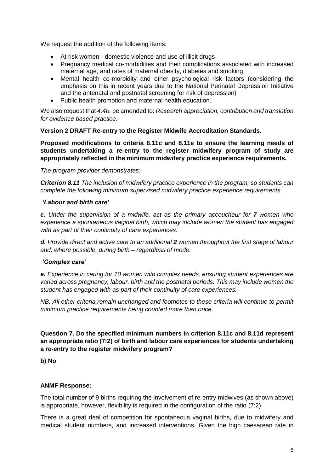We request the addition of the following items:

- At risk women domestic violence and use of illicit drugs
- Pregnancy medical co-morbidities and their complications associated with increased maternal age, and rates of maternal obesity, diabetes and smoking
- Mental health co-morbidity and other psychological risk factors (considering the emphasis on this in recent years due to the National Perinatal Depression Initiative and the antenatal and postnatal screening for risk of depression)
- Public health promotion and maternal health education.

We also request that *4.4b.* be amended to: *Research appreciation, contribution and translation for evidence based practice*.

## **Version 2 DRAFT Re-entry to the Register Midwife Accreditation Standards.**

**Proposed modifications to criteria 8.11c and 8.11e to ensure the learning needs of students undertaking a re-entry to the register midwifery program of study are appropriately reflected in the minimum midwifery practice experience requirements.** 

*The program provider demonstrates:* 

*Criterion 8.11 The inclusion of midwifery practice experience in the program, so students can complete the following minimum supervised midwifery practice experience requirements.* 

## *'Labour and birth care'*

*c. Under the supervision of a midwife, act as the primary accoucheur for 7 women who experience a spontaneous vaginal birth, which may include women the student has engaged with as part of their continuity of care experiences.* 

*d. Provide direct and active care to an additional 2 women throughout the first stage of labour and, where possible, during birth – regardless of mode.* 

# *'Complex care'*

*e. Experience in caring for 10 women with complex needs, ensuring student experiences are varied across pregnancy, labour, birth and the postnatal periods. This may include women the student has engaged with as part of their continuity of care experiences.* 

*NB: All other criteria remain unchanged and footnotes to these criteria will continue to permit minimum practice requirements being counted more than once.* 

## **Question 7. Do the specified minimum numbers in criterion 8.11c and 8.11d represent an appropriate ratio (7:2) of birth and labour care experiences for students undertaking a re-entry to the register midwifery program?**

**b) No** 

# **ANMF Response:**

The total number of 9 births requiring the involvement of re-entry midwives (as shown above) is appropriate, however, flexibility is required in the configuration of the ratio (7:2).

There is a great deal of competition for spontaneous vaginal births, due to midwifery and medical student numbers, and increased interventions. Given the high caesarean rate in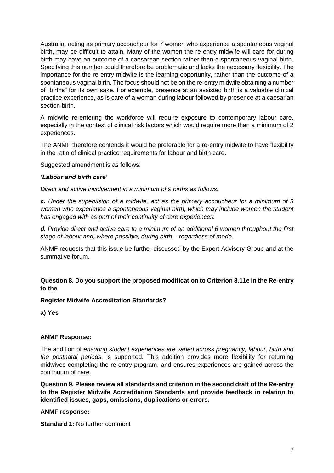Australia, acting as primary accoucheur for 7 women who experience a spontaneous vaginal birth, may be difficult to attain. Many of the women the re-entry midwife will care for during birth may have an outcome of a caesarean section rather than a spontaneous vaginal birth. Specifying this number could therefore be problematic and lacks the necessary flexibility. The importance for the re-entry midwife is the learning opportunity, rather than the outcome of a spontaneous vaginal birth. The focus should not be on the re-entry midwife obtaining a number of "births" for its own sake. For example, presence at an assisted birth is a valuable clinical practice experience, as is care of a woman during labour followed by presence at a caesarian section birth.

A midwife re-entering the workforce will require exposure to contemporary labour care, especially in the context of clinical risk factors which would require more than a minimum of 2 experiences.

The ANMF therefore contends it would be preferable for a re-entry midwife to have flexibility in the ratio of clinical practice requirements for labour and birth care.

Suggested amendment is as follows:

#### *'Labour and birth care'*

*Direct and active involvement in a minimum of 9 births as follows:*

*c. Under the supervision of a midwife, act as the primary accoucheur for a minimum of 3* women who experience a spontaneous vaginal birth, which may include women the student *has engaged with as part of their continuity of care experiences.* 

*d. Provide direct and active care to a minimum of an additional 6 women throughout the first stage of labour and, where possible, during birth – regardless of mode.* 

ANMF requests that this issue be further discussed by the Expert Advisory Group and at the summative forum.

## **Question 8. Do you support the proposed modification to Criterion 8.11e in the Re-entry to the**

## **Register Midwife Accreditation Standards?**

**a) Yes** 

## **ANMF Response:**

The addition of *ensuring student experiences are varied across pregnancy, labour, birth and the postnatal periods*, is supported. This addition provides more flexibility for returning midwives completing the re-entry program, and ensures experiences are gained across the continuum of care.

**Question 9. Please review all standards and criterion in the second draft of the Re-entry to the Register Midwife Accreditation Standards and provide feedback in relation to identified issues, gaps, omissions, duplications or errors.**

#### **ANMF response:**

**Standard 1:** No further comment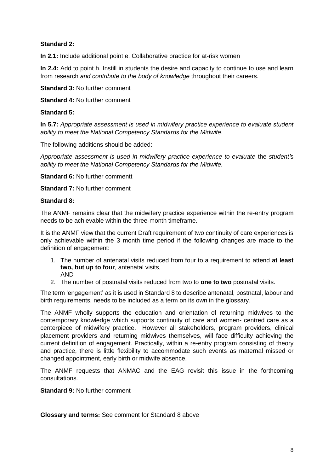# **Standard 2:**

**In 2.1:** Include additional point e. Collaborative practice for at-risk women

**In 2.4:** Add to point h. Instill in students the desire and capacity to continue to use and learn from research *and contribute to the body of knowledge* throughout their careers.

**Standard 3:** No further comment

**Standard 4:** No further comment

#### **Standard 5:**

**In 5.7:** *Appropriate assessment is used in midwifery practice experience to evaluate student ability to meet the National Competency Standards for the Midwife.*

The following additions should be added:

*Appropriate assessment is used in midwifery practice experience to evaluate* the *student'*s *ability to meet the National Competency Standards for the Midwife.*

**Standard 6:** No further commentt

**Standard 7:** No further comment

#### **Standard 8:**

The ANMF remains clear that the midwifery practice experience within the re-entry program needs to be achievable within the three-month timeframe.

It is the ANMF view that the current Draft requirement of two continuity of care experiences is only achievable within the 3 month time period if the following changes are made to the definition of engagement:

- 1. The number of antenatal visits reduced from four to a requirement to attend **at least two, but up to four**, antenatal visits, AND
- 2. The number of postnatal visits reduced from two to **one to two** postnatal visits.

The term 'engagement' as it is used in Standard 8 to describe antenatal, postnatal, labour and birth requirements, needs to be included as a term on its own in the glossary.

The ANMF wholly supports the education and orientation of returning midwives to the contemporary knowledge which supports continuity of care and women- centred care as a centerpiece of midwifery practice. However all stakeholders, program providers, clinical placement providers and returning midwives themselves, will face difficulty achieving the current definition of engagement. Practically, within a re-entry program consisting of theory and practice, there is little flexibility to accommodate such events as maternal missed or changed appointment, early birth or midwife absence.

The ANMF requests that ANMAC and the EAG revisit this issue in the forthcoming consultations.

**Standard 9:** No further comment

**Glossary and terms:** See comment for Standard 8 above